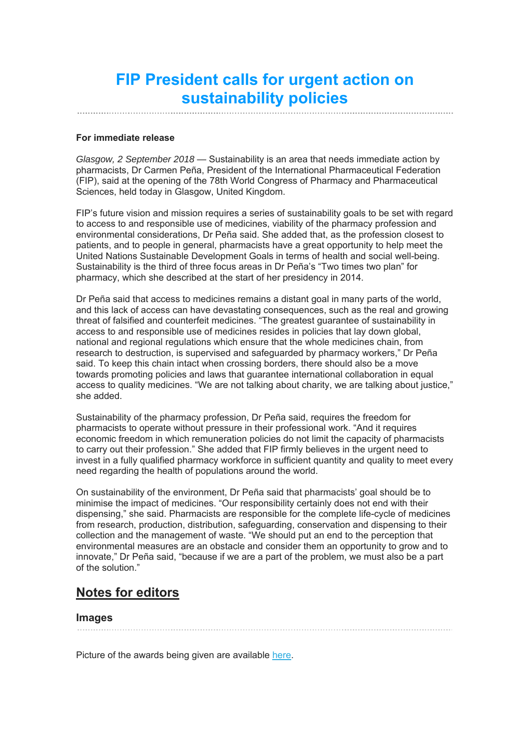# **FIP President calls for urgent action on sustainability policies**

#### **For immediate release**

*Glasgow, 2 September 2018* — Sustainability is an area that needs immediate action by pharmacists, Dr Carmen Peña, President of the International Pharmaceutical Federation (FIP), said at the opening of the 78th World Congress of Pharmacy and Pharmaceutical Sciences, held today in Glasgow, United Kingdom.

FIP's future vision and mission requires a series of sustainability goals to be set with regard to access to and responsible use of medicines, viability of the pharmacy profession and environmental considerations, Dr Peña said. She added that, as the profession closest to patients, and to people in general, pharmacists have a great opportunity to help meet the United Nations Sustainable Development Goals in terms of health and social well-being. Sustainability is the third of three focus areas in Dr Peña's "Two times two plan" for pharmacy, which she described at the start of her presidency in 2014.

Dr Peña said that access to medicines remains a distant goal in many parts of the world, and this lack of access can have devastating consequences, such as the real and growing threat of falsified and counterfeit medicines. "The greatest guarantee of sustainability in access to and responsible use of medicines resides in policies that lay down global, national and regional regulations which ensure that the whole medicines chain, from research to destruction, is supervised and safeguarded by pharmacy workers," Dr Peña said. To keep this chain intact when crossing borders, there should also be a move towards promoting policies and laws that guarantee international collaboration in equal access to quality medicines. "We are not talking about charity, we are talking about justice," she added.

Sustainability of the pharmacy profession, Dr Peña said, requires the freedom for pharmacists to operate without pressure in their professional work. "And it requires economic freedom in which remuneration policies do not limit the capacity of pharmacists to carry out their profession." She added that FIP firmly believes in the urgent need to invest in a fully qualified pharmacy workforce in sufficient quantity and quality to meet every need regarding the health of populations around the world.

On sustainability of the environment, Dr Peña said that pharmacists' goal should be to minimise the impact of medicines. "Our responsibility certainly does not end with their dispensing," she said. Pharmacists are responsible for the complete life-cycle of medicines from research, production, distribution, safeguarding, conservation and dispensing to their collection and the management of waste. "We should put an end to the perception that environmental measures are an obstacle and consider them an opportunity to grow and to innovate," Dr Peña said, "because if we are a part of the problem, we must also be a part of the solution."

# **Notes for editors**

# **Images**

Picture of the awards being given are available here.